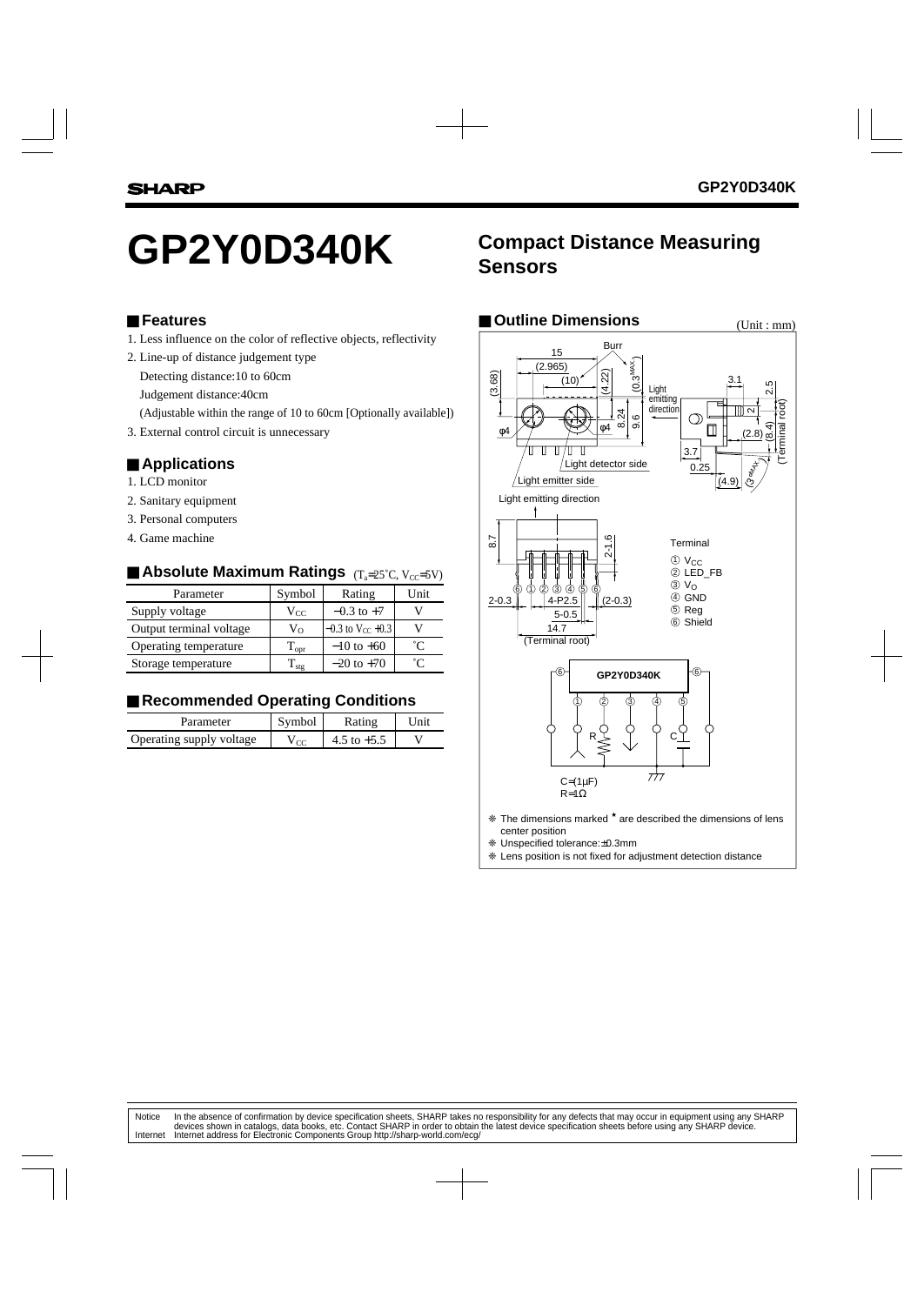#### ■ **Features**

- 1. Less influence on the color of reflective objects, reflectivity
- 2. Line-up of distance judgement type
	- Detecting distance:10 to 60cm
	- Judgement distance:40cm
	- (Adjustable within the range of 10 to 60cm [Optionally available])
- 3. External control circuit is unnecessary

#### ■ **Applications**

- 1. LCD monitor
- 2. Sanitary equipment
- 3. Personal computers
- 4. Game machine

# ■ Absolute Maximum Ratings <sub>(Ta=25°C, Vcc=5V)</sub>

| Parameter               | Symbol             | Rating                         | Unit |
|-------------------------|--------------------|--------------------------------|------|
| Supply voltage          | $V_{CC}$           | $-0.3$ to $+7$                 |      |
| Output terminal voltage | $V_{\Omega}$       | $-0.3$ to V <sub>CC</sub> +0.3 |      |
| Operating temperature   | $T_{\mathrm{opt}}$ | $-10$ to $+60$                 | °C   |
| Storage temperature     | $\Gamma_{\rm st}$  | $-20$ to $+70$                 | °C   |

## ■ Recommended Operating Conditions

| Parameter                | symbol          | Rating | ni |
|--------------------------|-----------------|--------|----|
| Operating supply voltage | 10 <sup>o</sup> |        |    |

# GP2Y0D340K **Compact Distance Measuring**

| <b>Outline Dimensions</b>                                                                                                                                                                                                                                                                                                                                                                                                                                                                                                                                       | (Unit : mm)                                                                    |
|-----------------------------------------------------------------------------------------------------------------------------------------------------------------------------------------------------------------------------------------------------------------------------------------------------------------------------------------------------------------------------------------------------------------------------------------------------------------------------------------------------------------------------------------------------------------|--------------------------------------------------------------------------------|
| Burr<br>15<br>$(0.3^{MAX})$<br>(2.965)<br>22<br>(3.68)<br>(10)<br>4<br>Light<br>emitting<br>direction<br>24<br>$\circ$<br>$\ddot{\circ}$<br>64<br>တ<br>Т<br>$\phi$ 4<br>$\mathbf{\mathbf{\mathsf{II}}}$<br>Ш<br>3.7<br>Light detector side<br>0.25<br>Light emitter side<br>Light emitting direction<br>8.7<br>$2 - 1.6$<br>Terminal<br>$\circled{0}$ V <sub>CC</sub><br>2 LED_FB<br>ு மெரி<br>இ<br>$\circledcirc$ $V_{\circ}$<br>$\circledcirc$<br>ന<br>4 GND<br>$(2-0.3)$<br>$2 - 0.3$<br>4-P2.5<br>5 Reg<br>$5 - 0.5$<br>6 Shield<br>14.7<br>(Terminal root) | 3.1<br>2.5<br>erminal root<br>ี<br>$^{18.4}$<br>(2.8)<br><b>Bonty</b><br>(4.9) |
| 6<br>GP2Y0D340K                                                                                                                                                                                                                                                                                                                                                                                                                                                                                                                                                 |                                                                                |
| R                                                                                                                                                                                                                                                                                                                                                                                                                                                                                                                                                               |                                                                                |
| 777<br>$C = (1 \mu F)$<br>$R = 1\Omega$                                                                                                                                                                                                                                                                                                                                                                                                                                                                                                                         |                                                                                |
| * The dimensions marked * are described the dimensions of lens<br>center position<br>* Hospecified tolerance: +0 3mm                                                                                                                                                                                                                                                                                                                                                                                                                                            |                                                                                |

❈ Unspecified tolerance:±0.3mm

❈ Lens position is not fixed for adjustment detection distance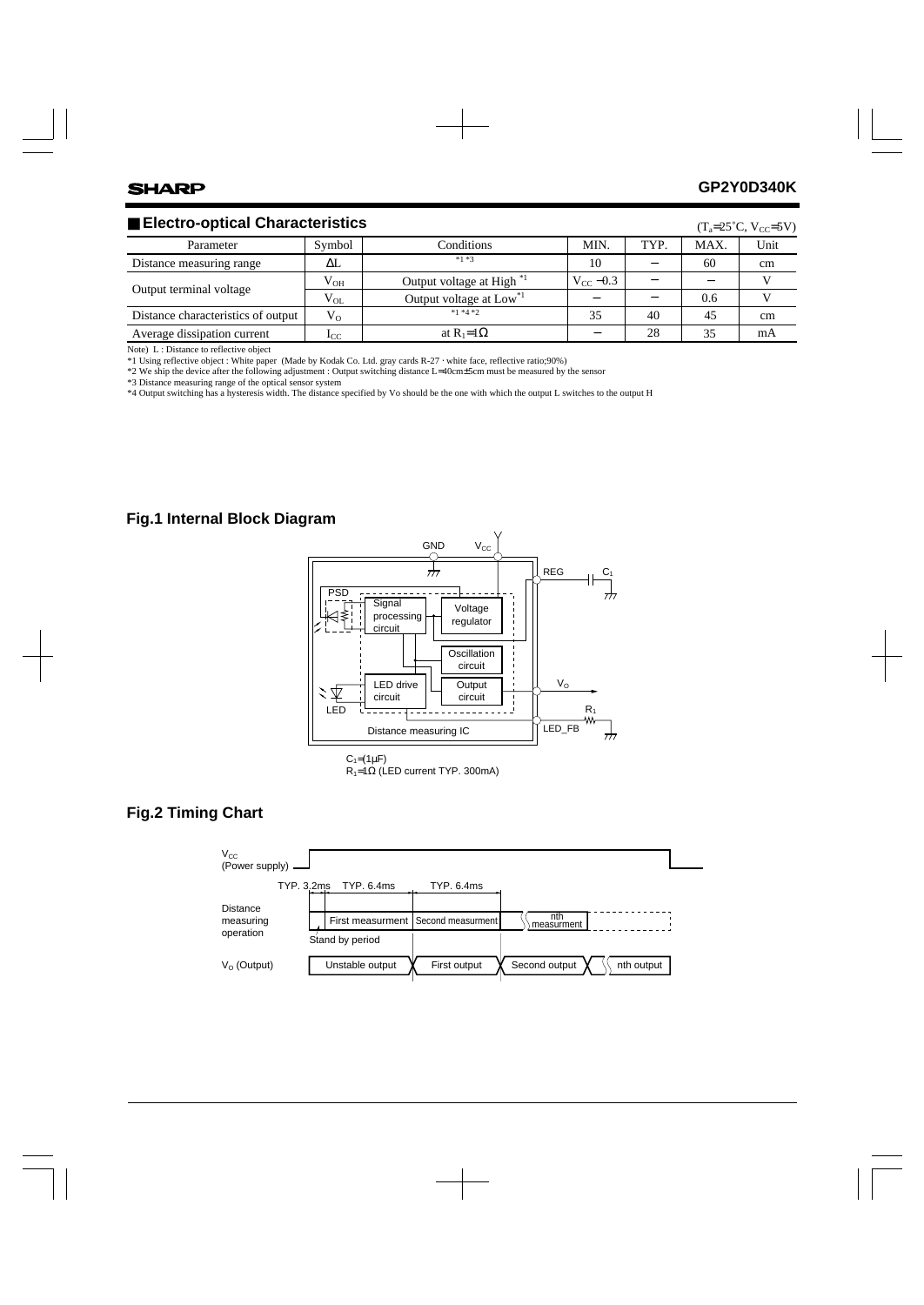## ■ Electro-optical Characteristics

| $\blacksquare$ Electro-optical Characteristics |          |                                      |               | $(T_a=25^{\circ}C, V_{CC}=5V)$ |      |      |
|------------------------------------------------|----------|--------------------------------------|---------------|--------------------------------|------|------|
| Parameter                                      | Symbol   | Conditions                           | MIN.          | TYP.                           | MAX. | Unit |
| Distance measuring range                       | AL.      | $*1 * 3$                             | 10            |                                | 60   | cm   |
| Output terminal voltage                        | $V_{OH}$ | Output voltage at High <sup>*1</sup> | $V_{cc}$ –0.3 |                                |      |      |
|                                                | $V_{OL}$ | Output voltage at Low <sup>*1</sup>  |               |                                | 0.6  |      |
| Distance characteristics of output             | $V_{O}$  | $*1 *4 *2$                           | 35            | 40                             | 45   | cm   |
| Average dissipation current                    | $1_{CC}$ | at $R_1=1\Omega$                     |               | 28                             | 35   | mA   |

Note) L : Distance to reflective object

\*1 Using reflective object : White paper (Made by Kodak Co. Ltd. gray cards R-27 ⋅ white face, reflective ratio;90%)

\*2 We ship the device after the following adjustment : Output switching distance L=40cm±5cm must be measured by the sensor

\*3 Distance measuring range of the optical sensor system

\*4 Output switching has a hysteresis width. The distance specified by Vo should be the one with which the output L switches to the output H

#### **Fig.1 Internal Block Diagram**



 $R_1=1\Omega$  (LED current TYP. 300mA)

#### **Fig.2 Timing Chart**

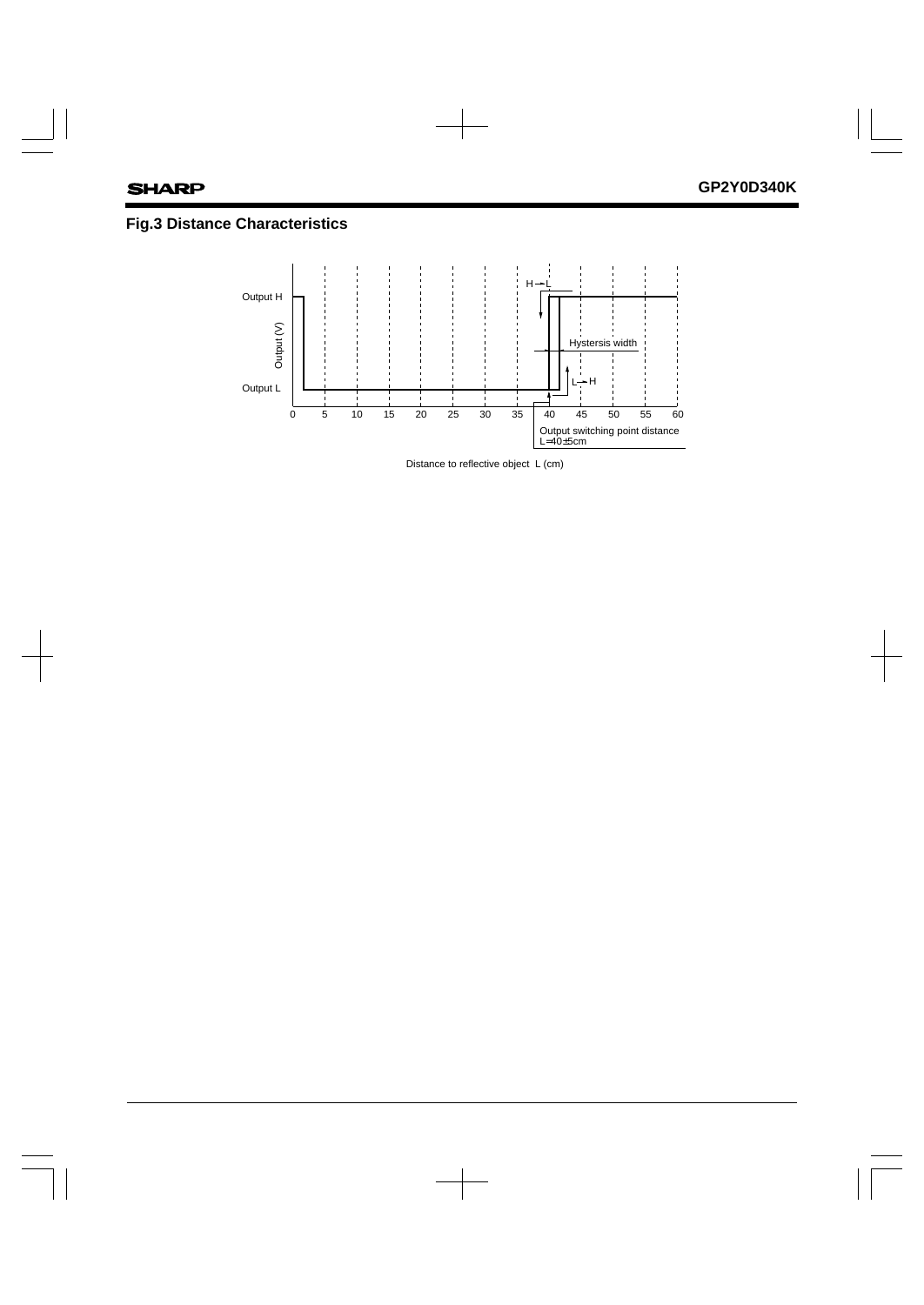# **Fig.3 Distance Characteristics**



Distance to reflective object L (cm)